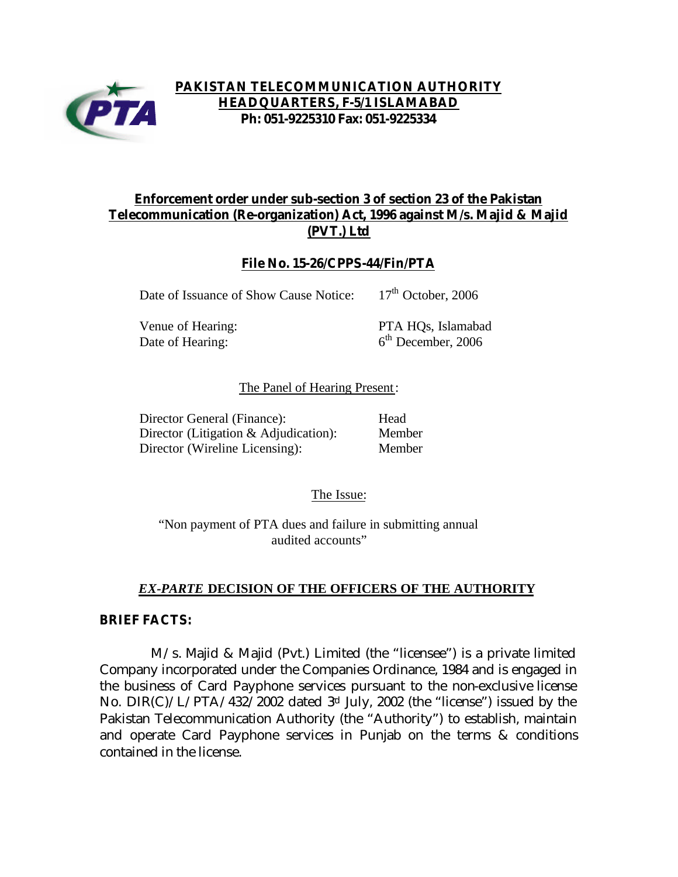

# **PAKISTAN TELECOMMUNICATION AUTHORITY HEADQUARTERS, F-5/1 ISLAMABAD Ph: 051-9225310 Fax: 051-9225334**

# **Enforcement order under sub-section 3 of section 23 of the Pakistan Telecommunication (Re-organization) Act, 1996 against M/s. Majid & Majid (PVT.) Ltd**

## **File No. 15-26/CPPS-44/Fin/PTA**

Date of Issuance of Show Cause Notice: 17<sup>th</sup> October, 2006

Date of Hearing:

Venue of Hearing: PTA HQs, Islamabad  $6<sup>th</sup>$  December, 2006

### The Panel of Hearing Present:

Director General (Finance): Head Director (Litigation & Adjudication): Member Director (Wireline Licensing): Member

The Issue:

"Non payment of PTA dues and failure in submitting annual audited accounts"

# *EX-PARTE* **DECISION OF THE OFFICERS OF THE AUTHORITY**

### **BRIEF FACTS:**

 M/s. Majid & Majid (Pvt.) Limited (the "licensee") is a private limited Company incorporated under the Companies Ordinance, 1984 and is engaged in the business of Card Payphone services pursuant to the non-exclusive license No. DIR(C)/L/PTA/432/2002 dated  $3<sup>rd</sup>$  July, 2002 (the "license") issued by the Pakistan Telecommunication Authority (the "Authority") to establish, maintain and operate Card Payphone services in Punjab on the terms & conditions contained in the license.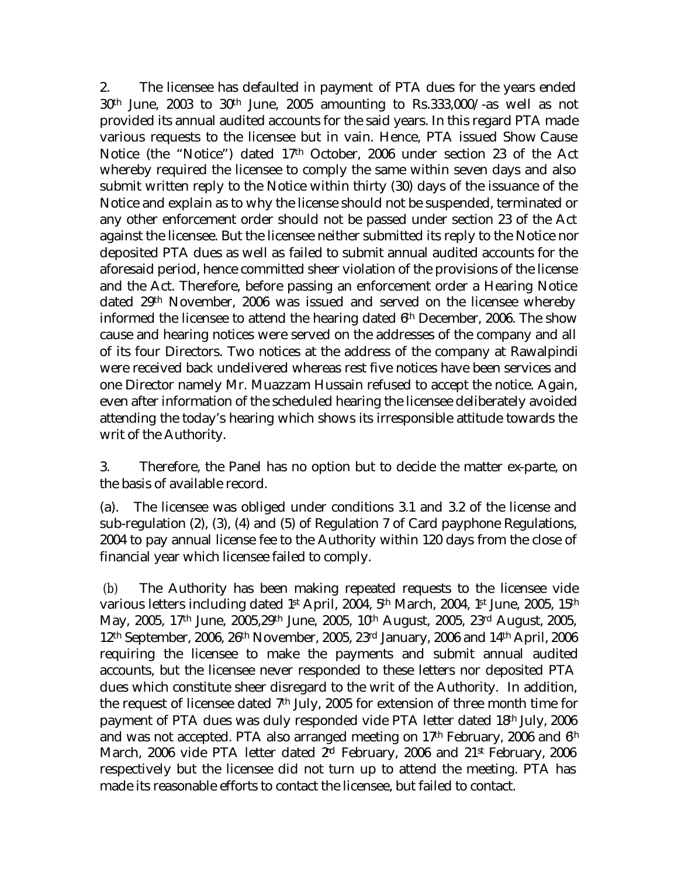2. The licensee has defaulted in payment of PTA dues for the years ended 30th June, 2003 to 30th June, 2005 amounting to Rs.333,000/-as well as not provided its annual audited accounts for the said years. In this regard PTA made various requests to the licensee but in vain. Hence, PTA issued Show Cause Notice (the "Notice") dated 17th October, 2006 under section 23 of the Act whereby required the licensee to comply the same within seven days and also submit written reply to the Notice within thirty (30) days of the issuance of the Notice and explain as to why the license should not be suspended, terminated or any other enforcement order should not be passed under section 23 of the Act against the licensee. But the licensee neither submitted its reply to the Notice nor deposited PTA dues as well as failed to submit annual audited accounts for the aforesaid period, hence committed sheer violation of the provisions of the license and the Act. Therefore, before passing an enforcement order a Hearing Notice dated 29th November, 2006 was issued and served on the licensee whereby informed the licensee to attend the hearing dated 6th December, 2006. The show cause and hearing notices were served on the addresses of the company and all of its four Directors. Two notices at the address of the company at Rawalpindi were received back undelivered whereas rest five notices have been services and one Director namely Mr. Muazzam Hussain refused to accept the notice. Again, even after information of the scheduled hearing the licensee deliberately avoided attending the today's hearing which shows its irresponsible attitude towards the writ of the Authority.

3. Therefore, the Panel has no option but to decide the matter ex-parte, on the basis of available record.

(a). The licensee was obliged under conditions 3.1 and 3.2 of the license and sub-regulation (2), (3), (4) and (5) of Regulation 7 of Card payphone Regulations, 2004 to pay annual license fee to the Authority within 120 days from the close of financial year which licensee failed to comply.

 (b) The Authority has been making repeated requests to the licensee vide various letters including dated 1st April, 2004, 5th March, 2004, 1st June, 2005, 15th May, 2005, 17th June, 2005,29th June, 2005, 10th August, 2005, 23rd August, 2005, 12th September, 2006, 26th November, 2005, 23rd January, 2006 and 14th April, 2006 requiring the licensee to make the payments and submit annual audited accounts, but the licensee never responded to these letters nor deposited PTA dues which constitute sheer disregard to the writ of the Authority. In addition, the request of licensee dated 7th July, 2005 for extension of three month time for payment of PTA dues was duly responded vide PTA letter dated 18th July, 2006 and was not accepted. PTA also arranged meeting on  $17<sup>th</sup>$  February, 2006 and  $6<sup>th</sup>$ March, 2006 vide PTA letter dated 2<sup>nd</sup> February, 2006 and 21<sup>st</sup> February, 2006 respectively but the licensee did not turn up to attend the meeting. PTA has made its reasonable efforts to contact the licensee, but failed to contact.